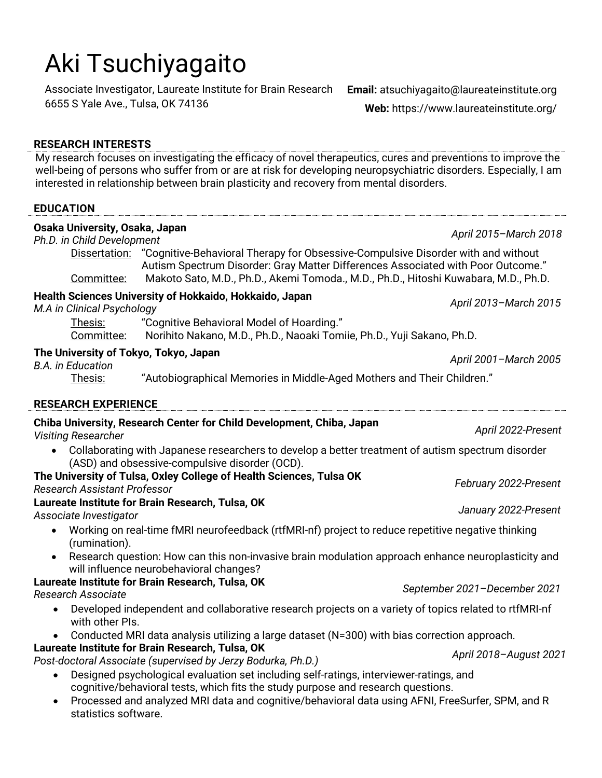# Aki Tsuchiyagaito

Associate Investigator, Laureate Institute for Brain Research **Email:** atsuchiyagaito@laureateinstitute.org 6655 S Yale Ave., Tulsa, OK 74136

**Web:** https://www.laureateinstitute.org/

#### **RESEARCH INTERESTS**

My research focuses on investigating the efficacy of novel therapeutics, cures and preventions to improve the well-being of persons who suffer from or are at risk for developing neuropsychiatric disorders. Especially, I am interested in relationship between brain plasticity and recovery from mental disorders.

#### **EDUCATION Osaka University, Osaka, Japan** *Ph.D. in Child Development April 2015–March 2018* Dissertation: "Cognitive-Behavioral Therapy for Obsessive-Compulsive Disorder with and without Autism Spectrum Disorder: Gray Matter Differences Associated with Poor Outcome." Committee: Makoto Sato, M.D., Ph.D., Akemi Tomoda., M.D., Ph.D., Hitoshi Kuwabara, M.D., Ph.D. **Health Sciences University of Hokkaido, Hokkaido, Japan** *M.A in Clinical Psychology April 2013–March 2015* Thesis: "Cognitive Behavioral Model of Hoarding." Committee: Norihito Nakano, M.D., Ph.D., Naoaki Tomiie, Ph.D., Yuji Sakano, Ph.D. **The University of Tokyo, Tokyo, Japan** *B.A. in Education April 2001–March 2005* Thesis: "Autobiographical Memories in Middle-Aged Mothers and Their Children." **RESEARCH EXPERIENCE Chiba University, Research Center for Child Development, Chiba, Japan** *Visiting Researcher April 2022-Present* • Collaborating with Japanese researchers to develop a better treatment of autism spectrum disorder (ASD) and obsessive-compulsive disorder (OCD). **The University of Tulsa, Oxley College of Health Sciences, Tulsa OK** *Research Assistant Professor February 2022-Present* **Laureate Institute for Brain Research, Tulsa, OK** *Associate Investigator January 2022-Present* • Working on real-time fMRI neurofeedback (rtfMRI-nf) project to reduce repetitive negative thinking (rumination). • Research question: How can this non-invasive brain modulation approach enhance neuroplasticity and will influence neurobehavioral changes? **Laureate Institute for Brain Research, Tulsa, OK** *Research Associate September 2021–December 2021* • Developed independent and collaborative research projects on a variety of topics related to rtfMRI-nf with other PIs. • Conducted MRI data analysis utilizing a large dataset (N=300) with bias correction approach. **Laureate Institute for Brain Research, Tulsa, OK** *Post-doctoral Associate (supervised by Jerzy Bodurka, Ph.D.) April 2018–August <sup>2021</sup>* • Designed psychological evaluation set including self-ratings, interviewer-ratings, and cognitive/behavioral tests, which fits the study purpose and research questions. • Processed and analyzed MRI data and cognitive/behavioral data using AFNI, FreeSurfer, SPM, and R statistics software.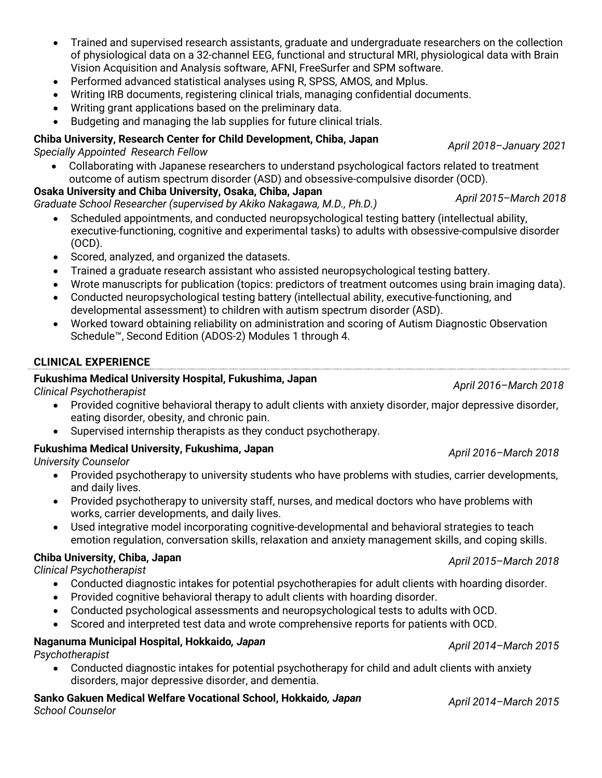- Trained and supervised research assistants, graduate and undergraduate researchers on the collection of physiological data on a 32-channel EEG, functional and structural MRI, physiological data with Brain Vision Acquisition and Analysis software, AFNI, FreeSurfer and SPM software.
- Performed advanced statistical analyses using R, SPSS, AMOS, and Mplus.
- Writing IRB documents, registering clinical trials, managing confidential documents.
- Writing grant applications based on the preliminary data.
- Budgeting and managing the lab supplies for future clinical trials.

#### **Chiba University, Research Center for Child Development, Chiba, Japan** *Specially Appointed Research Fellow April 2018–January <sup>2021</sup>*

- Collaborating with Japanese researchers to understand psychological factors related to treatment outcome of autism spectrum disorder (ASD) and obsessive-compulsive disorder (OCD).
- **Osaka University and Chiba University, Osaka, Chiba, Japan** *Graduate School Researcher (supervised by Akiko Nakagawa, M.D., Ph.D.) April 2015–March 2018*
	- Scheduled appointments, and conducted neuropsychological testing battery (intellectual ability, executive-functioning, cognitive and experimental tasks) to adults with obsessive-compulsive disorder (OCD).
	- Scored, analyzed, and organized the datasets.
	- Trained a graduate research assistant who assisted neuropsychological testing battery.
	- Wrote manuscripts for publication (topics: predictors of treatment outcomes using brain imaging data).
	- Conducted neuropsychological testing battery (intellectual ability, executive-functioning, and developmental assessment) to children with autism spectrum disorder (ASD).
	- Worked toward obtaining reliability on administration and scoring of Autism Diagnostic Observation Schedule™, Second Edition (ADOS-2) Modules 1 through 4.

### **CLINICAL EXPERIENCE**

#### **Fukushima Medical University Hospital, Fukushima, Japan** *Clinical Psychotherapist April 2016–March 2018*

- Provided cognitive behavioral therapy to adult clients with anxiety disorder, major depressive disorder, eating disorder, obesity, and chronic pain.
- Supervised internship therapists as they conduct psychotherapy.

## **Fukushima Medical University, Fukushima, Japan** *University Counselor April 2016–March 2018*

- Provided psychotherapy to university students who have problems with studies, carrier developments, and daily lives.
- Provided psychotherapy to university staff, nurses, and medical doctors who have problems with works, carrier developments, and daily lives.
- Used integrative model incorporating cognitive-developmental and behavioral strategies to teach emotion regulation, conversation skills, relaxation and anxiety management skills, and coping skills.

#### **Chiba University, Chiba, Japan** *Clinical Psychotherapist April 2015–March 2018*

- Conducted diagnostic intakes for potential psychotherapies for adult clients with hoarding disorder.
- Provided cognitive behavioral therapy to adult clients with hoarding disorder.
- Conducted psychological assessments and neuropsychological tests to adults with OCD.
- Scored and interpreted test data and wrote comprehensive reports for patients with OCD.

## **Naganuma Municipal Hospital, Hokkaido***, Japan Psychotherapist April 2014–March 2015*

• Conducted diagnostic intakes for potential psychotherapy for child and adult clients with anxiety disorders, major depressive disorder, and dementia.

# **Sanko Gakuen Medical Welfare Vocational School, Hokkaido***, Japan School Counselor April 2014–March 2015*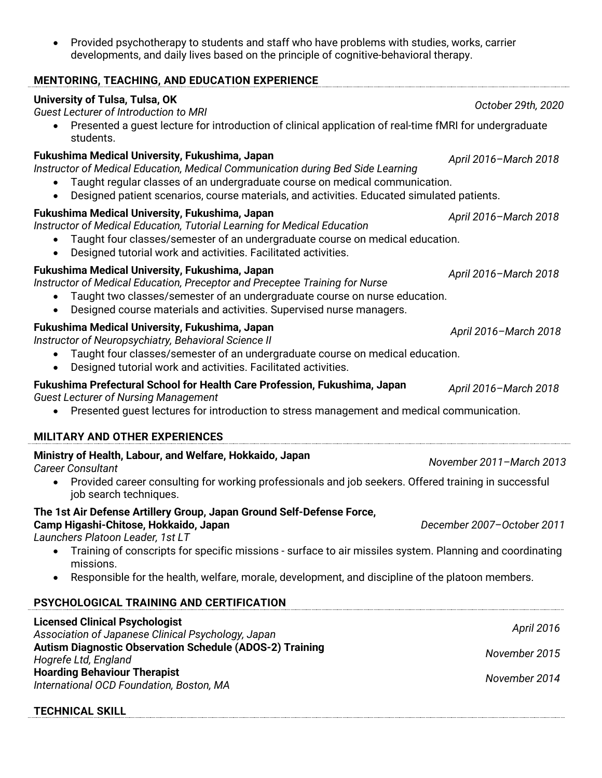• Provided psychotherapy to students and staff who have problems with studies, works, carrier developments, and daily lives based on the principle of cognitive-behavioral therapy.

| <b>MENTORING, TEACHING, AND EDUCATION EXPERIENCE</b>                                                                                                                                                                                                                                                           |                            |  |
|----------------------------------------------------------------------------------------------------------------------------------------------------------------------------------------------------------------------------------------------------------------------------------------------------------------|----------------------------|--|
| <b>University of Tulsa, Tulsa, OK</b><br><b>Guest Lecturer of Introduction to MRI</b>                                                                                                                                                                                                                          | October 29th, 2020         |  |
| Presented a guest lecture for introduction of clinical application of real-time fMRI for undergraduate<br>students.                                                                                                                                                                                            |                            |  |
| Fukushima Medical University, Fukushima, Japan<br>Instructor of Medical Education, Medical Communication during Bed Side Learning<br>Taught regular classes of an undergraduate course on medical communication.<br>Designed patient scenarios, course materials, and activities. Educated simulated patients. | April 2016-March 2018      |  |
| Fukushima Medical University, Fukushima, Japan<br>Instructor of Medical Education, Tutorial Learning for Medical Education<br>Taught four classes/semester of an undergraduate course on medical education.<br>$\bullet$<br>Designed tutorial work and activities. Facilitated activities.<br>$\bullet$        | April 2016-March 2018      |  |
| Fukushima Medical University, Fukushima, Japan<br>Instructor of Medical Education, Preceptor and Preceptee Training for Nurse<br>Taught two classes/semester of an undergraduate course on nurse education.<br>Designed course materials and activities. Supervised nurse managers.<br>$\bullet$               | April 2016-March 2018      |  |
| Fukushima Medical University, Fukushima, Japan<br>Instructor of Neuropsychiatry, Behavioral Science II<br>Taught four classes/semester of an undergraduate course on medical education.<br>$\bullet$<br>Designed tutorial work and activities. Facilitated activities.                                         | April 2016-March 2018      |  |
| Fukushima Prefectural School for Health Care Profession, Fukushima, Japan<br><b>Guest Lecturer of Nursing Management</b><br>Presented guest lectures for introduction to stress management and medical communication.<br><b>MILITARY AND OTHER EXPERIENCES</b>                                                 | April 2016-March 2018      |  |
| Ministry of Health, Labour, and Welfare, Hokkaido, Japan                                                                                                                                                                                                                                                       |                            |  |
| November 2011-March 2013<br><b>Career Consultant</b><br>Provided career consulting for working professionals and job seekers. Offered training in successful<br>$\bullet$                                                                                                                                      |                            |  |
| job search techniques.                                                                                                                                                                                                                                                                                         |                            |  |
| The 1st Air Defense Artillery Group, Japan Ground Self-Defense Force,<br>Camp Higashi-Chitose, Hokkaido, Japan<br>Launchers Platoon Leader, 1st LT                                                                                                                                                             | December 2007-October 2011 |  |
| Training of conscripts for specific missions - surface to air missiles system. Planning and coordinating<br>$\bullet$<br>missions.                                                                                                                                                                             |                            |  |
| Responsible for the health, welfare, morale, development, and discipline of the platoon members.<br>$\bullet$                                                                                                                                                                                                  |                            |  |
| PSYCHOLOGICAL TRAINING AND CERTIFICATION                                                                                                                                                                                                                                                                       |                            |  |
| <b>Licensed Clinical Psychologist</b><br>Association of Japanese Clinical Psychology, Japan<br><b>Autism Diagnostic Observation Schedule (ADOS-2) Training</b><br>Hogrefe Ltd, England                                                                                                                         | <b>April 2016</b>          |  |
|                                                                                                                                                                                                                                                                                                                | November 2015              |  |
| <b>Hoarding Behaviour Therapist</b><br>International OCD Foundation, Boston, MA                                                                                                                                                                                                                                | November 2014              |  |

|--|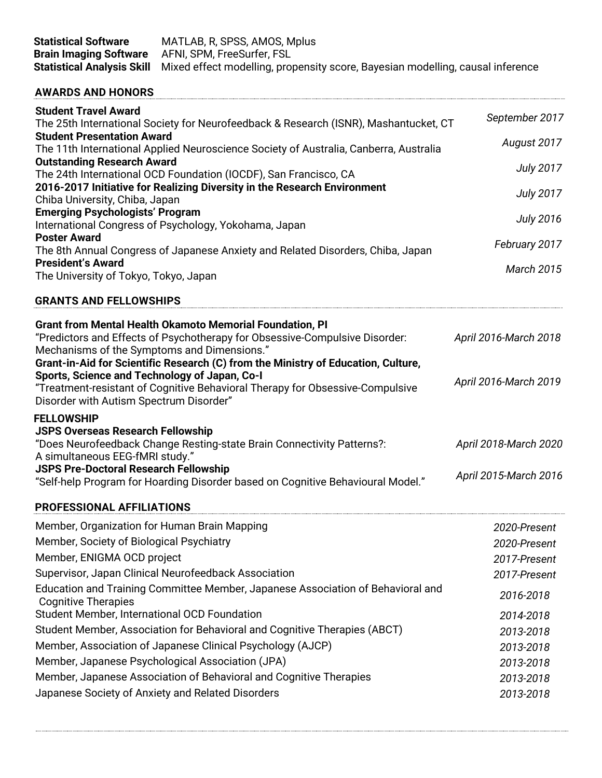| <b>Statistical Software</b><br><b>Brain Imaging Software</b>                                     | MATLAB, R, SPSS, AMOS, Mplus<br>AFNI, SPM, FreeSurfer, FSL                                                                                                                                                                          |                              |
|--------------------------------------------------------------------------------------------------|-------------------------------------------------------------------------------------------------------------------------------------------------------------------------------------------------------------------------------------|------------------------------|
| <b>Statistical Analysis Skill</b>                                                                | Mixed effect modelling, propensity score, Bayesian modelling, causal inference                                                                                                                                                      |                              |
| <b>AWARDS AND HONORS</b>                                                                         |                                                                                                                                                                                                                                     |                              |
| <b>Student Travel Award</b>                                                                      | The 25th International Society for Neurofeedback & Research (ISNR), Mashantucket, CT                                                                                                                                                | September 2017               |
| <b>Student Presentation Award</b>                                                                | The 11th International Applied Neuroscience Society of Australia, Canberra, Australia                                                                                                                                               | August 2017                  |
| <b>Outstanding Research Award</b>                                                                | The 24th International OCD Foundation (IOCDF), San Francisco, CA                                                                                                                                                                    | <b>July 2017</b>             |
| Chiba University, Chiba, Japan                                                                   | 2016-2017 Initiative for Realizing Diversity in the Research Environment                                                                                                                                                            | <b>July 2017</b>             |
| <b>Emerging Psychologists' Program</b>                                                           | International Congress of Psychology, Yokohama, Japan                                                                                                                                                                               | <b>July 2016</b>             |
| <b>Poster Award</b><br><b>President's Award</b>                                                  | The 8th Annual Congress of Japanese Anxiety and Related Disorders, Chiba, Japan                                                                                                                                                     | February 2017                |
| The University of Tokyo, Tokyo, Japan                                                            |                                                                                                                                                                                                                                     | <b>March 2015</b>            |
| <b>GRANTS AND FELLOWSHIPS</b>                                                                    |                                                                                                                                                                                                                                     |                              |
| Mechanisms of the Symptoms and Dimensions."                                                      | <b>Grant from Mental Health Okamoto Memorial Foundation, PI</b><br>"Predictors and Effects of Psychotherapy for Obsessive-Compulsive Disorder:<br>Grant-in-Aid for Scientific Research (C) from the Ministry of Education, Culture, | April 2016-March 2018        |
| Sports, Science and Technology of Japan, Co-I<br>Disorder with Autism Spectrum Disorder"         | "Treatment-resistant of Cognitive Behavioral Therapy for Obsessive-Compulsive                                                                                                                                                       | April 2016-March 2019        |
| <b>FELLOWSHIP</b><br><b>JSPS Overseas Research Fellowship</b><br>A simultaneous EEG-fMRI study." | "Does Neurofeedback Change Resting-state Brain Connectivity Patterns?:                                                                                                                                                              | April 2018-March 2020        |
| <b>JSPS Pre-Doctoral Research Fellowship</b>                                                     | "Self-help Program for Hoarding Disorder based on Cognitive Behavioural Model."                                                                                                                                                     | April 2015-March 2016        |
| <b>PROFESSIONAL AFFILIATIONS</b>                                                                 |                                                                                                                                                                                                                                     |                              |
| Member, Organization for Human Brain Mapping<br>Member, Society of Biological Psychiatry         |                                                                                                                                                                                                                                     | 2020-Present<br>2020-Present |
| Member, ENIGMA OCD project                                                                       | Supervisor, Japan Clinical Neurofeedback Association                                                                                                                                                                                | 2017-Present<br>2017-Present |
| <b>Cognitive Therapies</b>                                                                       | Education and Training Committee Member, Japanese Association of Behavioral and                                                                                                                                                     | 2016-2018                    |
| Student Member, International OCD Foundation                                                     | Student Member, Association for Behavioral and Cognitive Therapies (ABCT)                                                                                                                                                           | 2014-2018<br>2013-2018       |
|                                                                                                  | Member, Association of Japanese Clinical Psychology (AJCP)<br>Member, Japanese Psychological Association (JPA)                                                                                                                      | 2013-2018<br>2013-2018       |
|                                                                                                  | Member, Japanese Association of Behavioral and Cognitive Therapies<br>Japanese Society of Anxiety and Related Disorders                                                                                                             | 2013-2018<br>2013-2018       |
|                                                                                                  |                                                                                                                                                                                                                                     |                              |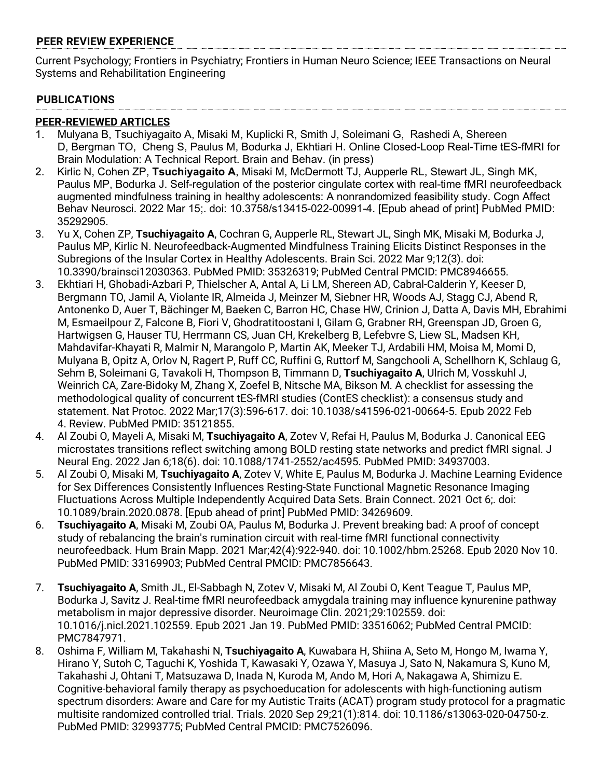#### **PEER REVIEW EXPERIENCE**

Current Psychology; Frontiers in Psychiatry; Frontiers in Human Neuro Science; IEEE Transactions on Neural Systems and Rehabilitation Engineering

#### **PUBLICATIONS**

#### **PEER-REVIEWED ARTICLES**

- 1. Mulyana B, Tsuchiyagaito A, Misaki M, Kuplicki R, Smith J, Soleimani G, Rashedi A, Shereen D, Bergman TO, Cheng S, Paulus M, Bodurka J, Ekhtiari H. Online Closed-Loop Real-Time tES-fMRI for Brain Modulation: A Technical Report. Brain and Behav. (in press)
- 2. Kirlic N, Cohen ZP, **Tsuchiyagaito A**, Misaki M, McDermott TJ, Aupperle RL, Stewart JL, Singh MK, Paulus MP, Bodurka J. Self-regulation of the posterior cingulate cortex with real-time fMRI neurofeedback augmented mindfulness training in healthy adolescents: A nonrandomized feasibility study. Cogn Affect Behav Neurosci. 2022 Mar 15;. doi: 10.3758/s13415-022-00991-4. [Epub ahead of print] PubMed PMID: 35292905.
- 3. Yu X, Cohen ZP, **Tsuchiyagaito A**, Cochran G, Aupperle RL, Stewart JL, Singh MK, Misaki M, Bodurka J, Paulus MP, Kirlic N. Neurofeedback-Augmented Mindfulness Training Elicits Distinct Responses in the Subregions of the Insular Cortex in Healthy Adolescents. Brain Sci. 2022 Mar 9;12(3). doi: 10.3390/brainsci12030363. PubMed PMID: 35326319; PubMed Central PMCID: PMC8946655.
- 3. Ekhtiari H, Ghobadi-Azbari P, Thielscher A, Antal A, Li LM, Shereen AD, Cabral-Calderin Y, Keeser D, Bergmann TO, Jamil A, Violante IR, Almeida J, Meinzer M, Siebner HR, Woods AJ, Stagg CJ, Abend R, Antonenko D, Auer T, Bächinger M, Baeken C, Barron HC, Chase HW, Crinion J, Datta A, Davis MH, Ebrahimi M, Esmaeilpour Z, Falcone B, Fiori V, Ghodratitoostani I, Gilam G, Grabner RH, Greenspan JD, Groen G, Hartwigsen G, Hauser TU, Herrmann CS, Juan CH, Krekelberg B, Lefebvre S, Liew SL, Madsen KH, Mahdavifar-Khayati R, Malmir N, Marangolo P, Martin AK, Meeker TJ, Ardabili HM, Moisa M, Momi D, Mulyana B, Opitz A, Orlov N, Ragert P, Ruff CC, Ruffini G, Ruttorf M, Sangchooli A, Schellhorn K, Schlaug G, Sehm B, Soleimani G, Tavakoli H, Thompson B, Timmann D, **Tsuchiyagaito A**, Ulrich M, Vosskuhl J, Weinrich CA, Zare-Bidoky M, Zhang X, Zoefel B, Nitsche MA, Bikson M. A checklist for assessing the methodological quality of concurrent tES-fMRI studies (ContES checklist): a consensus study and statement. Nat Protoc. 2022 Mar;17(3):596-617. doi: 10.1038/s41596-021-00664-5. Epub 2022 Feb 4. Review. PubMed PMID: 35121855.
- 4. Al Zoubi O, Mayeli A, Misaki M, **Tsuchiyagaito A**, Zotev V, Refai H, Paulus M, Bodurka J. Canonical EEG microstates transitions reflect switching among BOLD resting state networks and predict fMRI signal. J Neural Eng. 2022 Jan 6;18(6). doi: 10.1088/1741-2552/ac4595. PubMed PMID: 34937003.
- 5. Al Zoubi O, Misaki M, **Tsuchiyagaito A**, Zotev V, White E, Paulus M, Bodurka J. Machine Learning Evidence for Sex Differences Consistently Influences Resting-State Functional Magnetic Resonance Imaging Fluctuations Across Multiple Independently Acquired Data Sets. Brain Connect. 2021 Oct 6;. doi: 10.1089/brain.2020.0878. [Epub ahead of print] PubMed PMID: 34269609.
- 6. **Tsuchiyagaito A**, Misaki M, Zoubi OA, Paulus M, Bodurka J. Prevent breaking bad: A proof of concept study of rebalancing the brain's rumination circuit with real-time fMRI functional connectivity neurofeedback. Hum Brain Mapp. 2021 Mar;42(4):922-940. doi: 10.1002/hbm.25268. Epub 2020 Nov 10. PubMed PMID: 33169903; PubMed Central PMCID: PMC7856643.
- 7. **Tsuchiyagaito A**, Smith JL, El-Sabbagh N, Zotev V, Misaki M, Al Zoubi O, Kent Teague T, Paulus MP, Bodurka J, Savitz J. Real-time fMRI neurofeedback amygdala training may influence kynurenine pathway metabolism in major depressive disorder. Neuroimage Clin. 2021;29:102559. doi: 10.1016/j.nicl.2021.102559. Epub 2021 Jan 19. PubMed PMID: 33516062; PubMed Central PMCID: PMC7847971.
- 8. Oshima F, William M, Takahashi N, **Tsuchiyagaito A**, Kuwabara H, Shiina A, Seto M, Hongo M, Iwama Y, Hirano Y, Sutoh C, Taguchi K, Yoshida T, Kawasaki Y, Ozawa Y, Masuya J, Sato N, Nakamura S, Kuno M, Takahashi J, Ohtani T, Matsuzawa D, Inada N, Kuroda M, Ando M, Hori A, Nakagawa A, Shimizu E. Cognitive-behavioral family therapy as psychoeducation for adolescents with high-functioning autism spectrum disorders: Aware and Care for my Autistic Traits (ACAT) program study protocol for a pragmatic multisite randomized controlled trial. Trials. 2020 Sep 29;21(1):814. doi: 10.1186/s13063-020-04750-z. PubMed PMID: 32993775; PubMed Central PMCID: PMC7526096.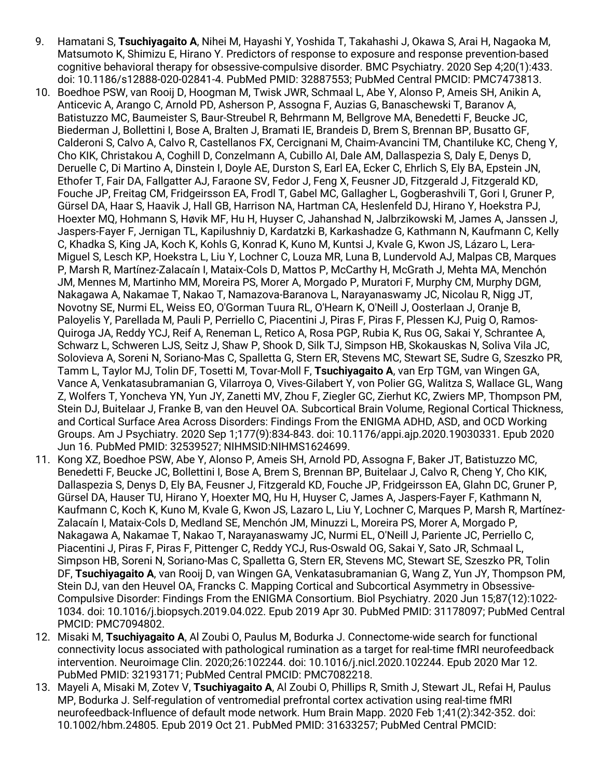- 9. Hamatani S, **Tsuchiyagaito A**, Nihei M, Hayashi Y, Yoshida T, Takahashi J, Okawa S, Arai H, Nagaoka M, Matsumoto K, Shimizu E, Hirano Y. Predictors of response to exposure and response prevention-based cognitive behavioral therapy for obsessive-compulsive disorder. BMC Psychiatry. 2020 Sep 4;20(1):433. doi: 10.1186/s12888-020-02841-4. PubMed PMID: 32887553; PubMed Central PMCID: PMC7473813.
- 10. Boedhoe PSW, van Rooij D, Hoogman M, Twisk JWR, Schmaal L, Abe Y, Alonso P, Ameis SH, Anikin A, Anticevic A, Arango C, Arnold PD, Asherson P, Assogna F, Auzias G, Banaschewski T, Baranov A, Batistuzzo MC, Baumeister S, Baur-Streubel R, Behrmann M, Bellgrove MA, Benedetti F, Beucke JC, Biederman J, Bollettini I, Bose A, Bralten J, Bramati IE, Brandeis D, Brem S, Brennan BP, Busatto GF, Calderoni S, Calvo A, Calvo R, Castellanos FX, Cercignani M, Chaim-Avancini TM, Chantiluke KC, Cheng Y, Cho KIK, Christakou A, Coghill D, Conzelmann A, Cubillo AI, Dale AM, Dallaspezia S, Daly E, Denys D, Deruelle C, Di Martino A, Dinstein I, Doyle AE, Durston S, Earl EA, Ecker C, Ehrlich S, Ely BA, Epstein JN, Ethofer T, Fair DA, Fallgatter AJ, Faraone SV, Fedor J, Feng X, Feusner JD, Fitzgerald J, Fitzgerald KD, Fouche JP, Freitag CM, Fridgeirsson EA, Frodl T, Gabel MC, Gallagher L, Gogberashvili T, Gori I, Gruner P, Gürsel DA, Haar S, Haavik J, Hall GB, Harrison NA, Hartman CA, Heslenfeld DJ, Hirano Y, Hoekstra PJ, Hoexter MQ, Hohmann S, Høvik MF, Hu H, Huyser C, Jahanshad N, Jalbrzikowski M, James A, Janssen J, Jaspers-Fayer F, Jernigan TL, Kapilushniy D, Kardatzki B, Karkashadze G, Kathmann N, Kaufmann C, Kelly C, Khadka S, King JA, Koch K, Kohls G, Konrad K, Kuno M, Kuntsi J, Kvale G, Kwon JS, Lázaro L, Lera-Miguel S, Lesch KP, Hoekstra L, Liu Y, Lochner C, Louza MR, Luna B, Lundervold AJ, Malpas CB, Marques P, Marsh R, Martínez-Zalacaín I, Mataix-Cols D, Mattos P, McCarthy H, McGrath J, Mehta MA, Menchón JM, Mennes M, Martinho MM, Moreira PS, Morer A, Morgado P, Muratori F, Murphy CM, Murphy DGM, Nakagawa A, Nakamae T, Nakao T, Namazova-Baranova L, Narayanaswamy JC, Nicolau R, Nigg JT, Novotny SE, Nurmi EL, Weiss EO, O'Gorman Tuura RL, O'Hearn K, O'Neill J, Oosterlaan J, Oranje B, Paloyelis Y, Parellada M, Pauli P, Perriello C, Piacentini J, Piras F, Piras F, Plessen KJ, Puig O, Ramos-Quiroga JA, Reddy YCJ, Reif A, Reneman L, Retico A, Rosa PGP, Rubia K, Rus OG, Sakai Y, Schrantee A, Schwarz L, Schweren LJS, Seitz J, Shaw P, Shook D, Silk TJ, Simpson HB, Skokauskas N, Soliva Vila JC, Solovieva A, Soreni N, Soriano-Mas C, Spalletta G, Stern ER, Stevens MC, Stewart SE, Sudre G, Szeszko PR, Tamm L, Taylor MJ, Tolin DF, Tosetti M, Tovar-Moll F, **Tsuchiyagaito A**, van Erp TGM, van Wingen GA, Vance A, Venkatasubramanian G, Vilarroya O, Vives-Gilabert Y, von Polier GG, Walitza S, Wallace GL, Wang Z, Wolfers T, Yoncheva YN, Yun JY, Zanetti MV, Zhou F, Ziegler GC, Zierhut KC, Zwiers MP, Thompson PM, Stein DJ, Buitelaar J, Franke B, van den Heuvel OA. Subcortical Brain Volume, Regional Cortical Thickness, and Cortical Surface Area Across Disorders: Findings From the ENIGMA ADHD, ASD, and OCD Working Groups. Am J Psychiatry. 2020 Sep 1;177(9):834-843. doi: 10.1176/appi.ajp.2020.19030331. Epub 2020 Jun 16. PubMed PMID: 32539527; NIHMSID:NIHMS1624699.
- 11. Kong XZ, Boedhoe PSW, Abe Y, Alonso P, Ameis SH, Arnold PD, Assogna F, Baker JT, Batistuzzo MC, Benedetti F, Beucke JC, Bollettini I, Bose A, Brem S, Brennan BP, Buitelaar J, Calvo R, Cheng Y, Cho KIK, Dallaspezia S, Denys D, Ely BA, Feusner J, Fitzgerald KD, Fouche JP, Fridgeirsson EA, Glahn DC, Gruner P, Gürsel DA, Hauser TU, Hirano Y, Hoexter MQ, Hu H, Huyser C, James A, Jaspers-Fayer F, Kathmann N, Kaufmann C, Koch K, Kuno M, Kvale G, Kwon JS, Lazaro L, Liu Y, Lochner C, Marques P, Marsh R, Martínez-Zalacaín I, Mataix-Cols D, Medland SE, Menchón JM, Minuzzi L, Moreira PS, Morer A, Morgado P, Nakagawa A, Nakamae T, Nakao T, Narayanaswamy JC, Nurmi EL, O'Neill J, Pariente JC, Perriello C, Piacentini J, Piras F, Piras F, Pittenger C, Reddy YCJ, Rus-Oswald OG, Sakai Y, Sato JR, Schmaal L, Simpson HB, Soreni N, Soriano-Mas C, Spalletta G, Stern ER, Stevens MC, Stewart SE, Szeszko PR, Tolin DF, **Tsuchiyagaito A**, van Rooij D, van Wingen GA, Venkatasubramanian G, Wang Z, Yun JY, Thompson PM, Stein DJ, van den Heuvel OA, Francks C. Mapping Cortical and Subcortical Asymmetry in Obsessive-Compulsive Disorder: Findings From the ENIGMA Consortium. Biol Psychiatry. 2020 Jun 15;87(12):1022- 1034. doi: 10.1016/j.biopsych.2019.04.022. Epub 2019 Apr 30. PubMed PMID: 31178097; PubMed Central PMCID: PMC7094802.
- 12. Misaki M, **Tsuchiyagaito A**, Al Zoubi O, Paulus M, Bodurka J. Connectome-wide search for functional connectivity locus associated with pathological rumination as a target for real-time fMRI neurofeedback intervention. Neuroimage Clin. 2020;26:102244. doi: 10.1016/j.nicl.2020.102244. Epub 2020 Mar 12. PubMed PMID: 32193171; PubMed Central PMCID: PMC7082218.
- 13. Mayeli A, Misaki M, Zotev V, **Tsuchiyagaito A**, Al Zoubi O, Phillips R, Smith J, Stewart JL, Refai H, Paulus MP, Bodurka J. Self-regulation of ventromedial prefrontal cortex activation using real-time fMRI neurofeedback-Influence of default mode network. Hum Brain Mapp. 2020 Feb 1;41(2):342-352. doi: 10.1002/hbm.24805. Epub 2019 Oct 21. PubMed PMID: 31633257; PubMed Central PMCID: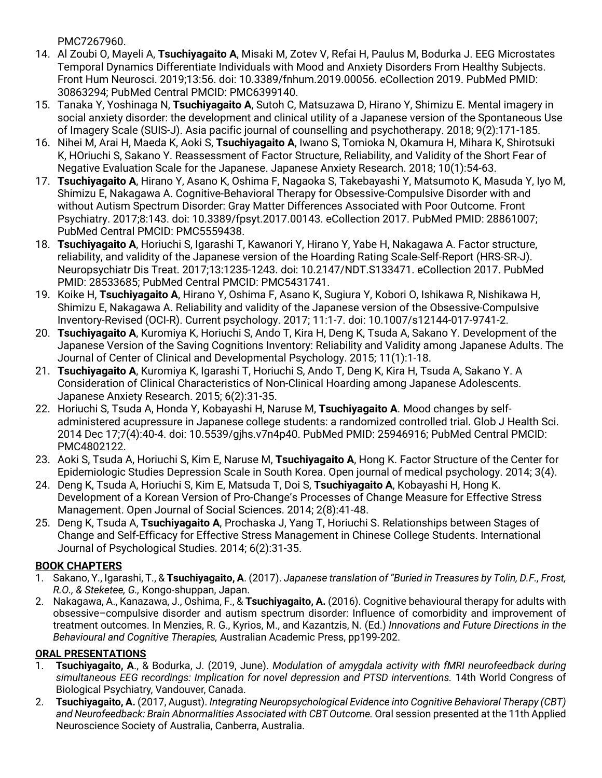PMC7267960.

- 14. Al Zoubi O, Mayeli A, **Tsuchiyagaito A**, Misaki M, Zotev V, Refai H, Paulus M, Bodurka J. EEG Microstates Temporal Dynamics Differentiate Individuals with Mood and Anxiety Disorders From Healthy Subjects. Front Hum Neurosci. 2019;13:56. doi: 10.3389/fnhum.2019.00056. eCollection 2019. PubMed PMID: 30863294; PubMed Central PMCID: PMC6399140.
- 15. Tanaka Y, Yoshinaga N, **Tsuchiyagaito A**, Sutoh C, Matsuzawa D, Hirano Y, Shimizu E. Mental imagery in social anxiety disorder: the development and clinical utility of a Japanese version of the Spontaneous Use of Imagery Scale (SUIS-J). Asia pacific journal of counselling and psychotherapy. 2018; 9(2):171-185.
- 16. Nihei M, Arai H, Maeda K, Aoki S, **Tsuchiyagaito A**, Iwano S, Tomioka N, Okamura H, Mihara K, Shirotsuki K, HOriuchi S, Sakano Y. Reassessment of Factor Structure, Reliability, and Validity of the Short Fear of Negative Evaluation Scale for the Japanese. Japanese Anxiety Research. 2018; 10(1):54-63.
- 17. **Tsuchiyagaito A**, Hirano Y, Asano K, Oshima F, Nagaoka S, Takebayashi Y, Matsumoto K, Masuda Y, Iyo M, Shimizu E, Nakagawa A. Cognitive-Behavioral Therapy for Obsessive-Compulsive Disorder with and without Autism Spectrum Disorder: Gray Matter Differences Associated with Poor Outcome. Front Psychiatry. 2017;8:143. doi: 10.3389/fpsyt.2017.00143. eCollection 2017. PubMed PMID: 28861007; PubMed Central PMCID: PMC5559438.
- 18. **Tsuchiyagaito A**, Horiuchi S, Igarashi T, Kawanori Y, Hirano Y, Yabe H, Nakagawa A. Factor structure, reliability, and validity of the Japanese version of the Hoarding Rating Scale-Self-Report (HRS-SR-J). Neuropsychiatr Dis Treat. 2017;13:1235-1243. doi: 10.2147/NDT.S133471. eCollection 2017. PubMed PMID: 28533685; PubMed Central PMCID: PMC5431741.
- 19. Koike H, **Tsuchiyagaito A**, Hirano Y, Oshima F, Asano K, Sugiura Y, Kobori O, Ishikawa R, Nishikawa H, Shimizu E, Nakagawa A. Reliability and validity of the Japanese version of the Obsessive-Compulsive Inventory-Revised (OCI-R). Current psychology. 2017; 11:1-7. doi: 10.1007/s12144-017-9741-2.
- 20. **Tsuchiyagaito A**, Kuromiya K, Horiuchi S, Ando T, Kira H, Deng K, Tsuda A, Sakano Y. Development of the Japanese Version of the Saving Cognitions Inventory: Reliability and Validity among Japanese Adults. The Journal of Center of Clinical and Developmental Psychology. 2015; 11(1):1-18.
- 21. **Tsuchiyagaito A**, Kuromiya K, Igarashi T, Horiuchi S, Ando T, Deng K, Kira H, Tsuda A, Sakano Y. A Consideration of Clinical Characteristics of Non-Clinical Hoarding among Japanese Adolescents. Japanese Anxiety Research. 2015; 6(2):31-35.
- 22. Horiuchi S, Tsuda A, Honda Y, Kobayashi H, Naruse M, **Tsuchiyagaito A**. Mood changes by selfadministered acupressure in Japanese college students: a randomized controlled trial. Glob J Health Sci. 2014 Dec 17;7(4):40-4. doi: 10.5539/gjhs.v7n4p40. PubMed PMID: 25946916; PubMed Central PMCID: PMC4802122.
- 23. Aoki S, Tsuda A, Horiuchi S, Kim E, Naruse M, **Tsuchiyagaito A**, Hong K. Factor Structure of the Center for Epidemiologic Studies Depression Scale in South Korea. Open journal of medical psychology. 2014; 3(4).
- 24. Deng K, Tsuda A, Horiuchi S, Kim E, Matsuda T, Doi S, **Tsuchiyagaito A**, Kobayashi H, Hong K. Development of a Korean Version of Pro-Change's Processes of Change Measure for Effective Stress Management. Open Journal of Social Sciences. 2014; 2(8):41-48.
- 25. Deng K, Tsuda A, **Tsuchiyagaito A**, Prochaska J, Yang T, Horiuchi S. Relationships between Stages of Change and Self-Efficacy for Effective Stress Management in Chinese College Students. International Journal of Psychological Studies. 2014; 6(2):31-35.

### **BOOK CHAPTERS**

- 1. Sakano, Y., Igarashi, T., & **Tsuchiyagaito, A**. (2017). *Japanese translation of "Buried in Treasures by Tolin, D.F., Frost, R.O., & Steketee, G.,* Kongo-shuppan, Japan.
- 2. Nakagawa, A., Kanazawa, J., Oshima, F., & **Tsuchiyagaito, A.** (2016). Cognitive behavioural therapy for adults with obsessive–compulsive disorder and autism spectrum disorder: Influence of comorbidity and improvement of treatment outcomes. In Menzies, R. G., Kyrios, M., and Kazantzis, N. (Ed.) *Innovations and Future Directions in the Behavioural and Cognitive Therapies,* Australian Academic Press, pp199-202.

### **ORAL PRESENTATIONS**

- 1. **Tsuchiyagaito, A**., & Bodurka, J. (2019, June). *Modulation of amygdala activity with fMRI neurofeedback during simultaneous EEG recordings: Implication for novel depression and PTSD interventions.* 14th World Congress of Biological Psychiatry, Vandouver, Canada.
- 2. **Tsuchiyagaito, A.** (2017, August). *Integrating Neuropsychological Evidence into Cognitive Behavioral Therapy (CBT) and Neurofeedback: Brain Abnormalities Associated with CBT Outcome.* Oral session presented at the 11th Applied Neuroscience Society of Australia, Canberra, Australia.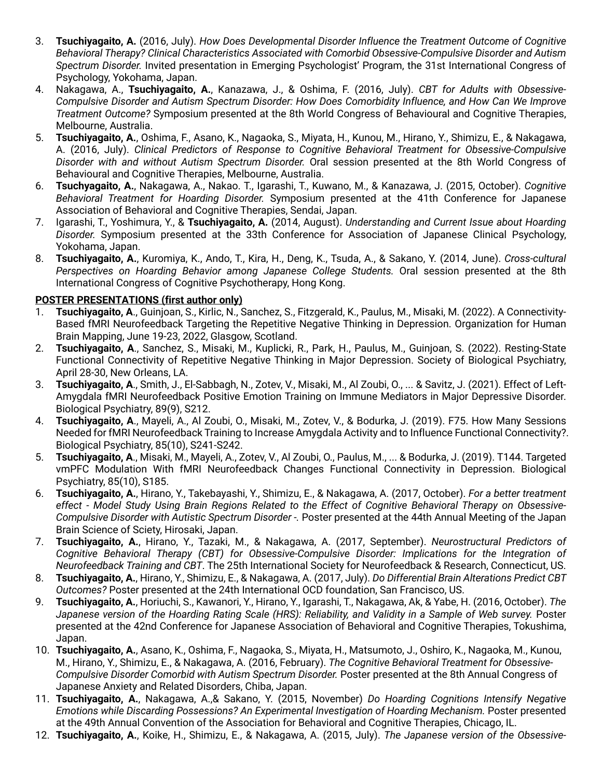- 3. **Tsuchiyagaito, A.** (2016, July). *How Does Developmental Disorder Influence the Treatment Outcome of Cognitive Behavioral Therapy? Clinical Characteristics Associated with Comorbid Obsessive-Compulsive Disorder and Autism Spectrum Disorder.* Invited presentation in Emerging Psychologist' Program, the 31st International Congress of Psychology, Yokohama, Japan.
- 4. Nakagawa, A., **Tsuchiyagaito, A.**, Kanazawa, J., & Oshima, F. (2016, July). *CBT for Adults with Obsessive-Compulsive Disorder and Autism Spectrum Disorder: How Does Comorbidity Influence, and How Can We Improve Treatment Outcome?* Symposium presented at the 8th World Congress of Behavioural and Cognitive Therapies, Melbourne, Australia.
- 5. **Tsuchiyagaito, A.**, Oshima, F., Asano, K., Nagaoka, S., Miyata, H., Kunou, M., Hirano, Y., Shimizu, E., & Nakagawa, A. (2016, July). *Clinical Predictors of Response to Cognitive Behavioral Treatment for Obsessive-Compulsive Disorder with and without Autism Spectrum Disorder.* Oral session presented at the 8th World Congress of Behavioural and Cognitive Therapies, Melbourne, Australia.
- 6. **Tsuchyagaito, A.**, Nakagawa, A., Nakao. T., Igarashi, T., Kuwano, M., & Kanazawa, J. (2015, October). *Cognitive Behavioral Treatment for Hoarding Disorder.* Symposium presented at the 41th Conference for Japanese Association of Behavioral and Cognitive Therapies, Sendai, Japan.
- 7. Igarashi, T., Yoshimura, Y., & **Tsuchiyagaito, A.** (2014, August). *Understanding and Current Issue about Hoarding Disorder.* Symposium presented at the 33th Conference for Association of Japanese Clinical Psychology, Yokohama, Japan.
- 8. **Tsuchiyagaito, A.**, Kuromiya, K., Ando, T., Kira, H., Deng, K., Tsuda, A., & Sakano, Y. (2014, June). *Cross-cultural Perspectives on Hoarding Behavior among Japanese College Students.* Oral session presented at the 8th International Congress of Cognitive Psychotherapy, Hong Kong.

#### **POSTER PRESENTATIONS (first author only)**

- 1. **Tsuchiyagaito, A**., Guinjoan, S., Kirlic, N., Sanchez, S., Fitzgerald, K., Paulus, M., Misaki, M. (2022). A Connectivity-Based fMRI Neurofeedback Targeting the Repetitive Negative Thinking in Depression. Organization for Human Brain Mapping, June 19-23, 2022, Glasgow, Scotland.
- 2. **Tsuchiyagaito, A**., Sanchez, S., Misaki, M., Kuplicki, R., Park, H., Paulus, M., Guinjoan, S. (2022). Resting-State Functional Connectivity of Repetitive Negative Thinking in Major Depression. Society of Biological Psychiatry, April 28-30, New Orleans, LA.
- 3. **Tsuchiyagaito, A**., Smith, J., El-Sabbagh, N., Zotev, V., Misaki, M., Al Zoubi, O., ... & Savitz, J. (2021). Effect of Left-Amygdala fMRI Neurofeedback Positive Emotion Training on Immune Mediators in Major Depressive Disorder. Biological Psychiatry, 89(9), S212.
- 4. **Tsuchiyagaito, A**., Mayeli, A., Al Zoubi, O., Misaki, M., Zotev, V., & Bodurka, J. (2019). F75. How Many Sessions Needed for fMRI Neurofeedback Training to Increase Amygdala Activity and to Influence Functional Connectivity?. Biological Psychiatry, 85(10), S241-S242.
- 5. **Tsuchiyagaito, A**., Misaki, M., Mayeli, A., Zotev, V., Al Zoubi, O., Paulus, M., ... & Bodurka, J. (2019). T144. Targeted vmPFC Modulation With fMRI Neurofeedback Changes Functional Connectivity in Depression. Biological Psychiatry, 85(10), S185.
- 6. **Tsuchiyagaito, A.**, Hirano, Y., Takebayashi, Y., Shimizu, E., & Nakagawa, A. (2017, October). *For a better treatment effect - Model Study Using Brain Regions Related to the Effect of Cognitive Behavioral Therapy on Obsessive-Compulsive Disorder with Autistic Spectrum Disorder -.* Poster presented at the 44th Annual Meeting of the Japan Brain Science of Sciety, Hirosaki, Japan.
- 7. **Tsuchiyagaito, A.**, Hirano, Y., Tazaki, M., & Nakagawa, A. (2017, September). *Neurostructural Predictors of Cognitive Behavioral Therapy (CBT) for Obsessive-Compulsive Disorder: Implications for the Integration of Neurofeedback Training and CBT*. The 25th International Society for Neurofeedback & Research, Connecticut, US.
- 8. **Tsuchiyagaito, A.**, Hirano, Y., Shimizu, E., & Nakagawa, A. (2017, July). *Do Differential Brain Alterations Predict CBT Outcomes?* Poster presented at the 24th International OCD foundation, San Francisco, US.
- 9. **Tsuchiyagaito, A.**, Horiuchi, S., Kawanori, Y., Hirano, Y., Igarashi, T., Nakagawa, Ak, & Yabe, H. (2016, October). *The Japanese version of the Hoarding Rating Scale (HRS): Reliability, and Validity in a Sample of Web survey.* Poster presented at the 42nd Conference for Japanese Association of Behavioral and Cognitive Therapies, Tokushima, Japan.
- 10. **Tsuchiyagaito, A.**, Asano, K., Oshima, F., Nagaoka, S., Miyata, H., Matsumoto, J., Oshiro, K., Nagaoka, M., Kunou, M., Hirano, Y., Shimizu, E., & Nakagawa, A. (2016, February). *The Cognitive Behavioral Treatment for Obsessive-Compulsive Disorder Comorbid with Autism Spectrum Disorder.* Poster presented at the 8th Annual Congress of Japanese Anxiety and Related Disorders, Chiba, Japan.
- 11. **Tsuchiyagaito, A.**, Nakagawa, A.,& Sakano, Y. (2015, November) *Do Hoarding Cognitions Intensify Negative Emotions while Discarding Possessions? An Experimental Investigation of Hoarding Mechanism.* Poster presented at the 49th Annual Convention of the Association for Behavioral and Cognitive Therapies, Chicago, IL.
- 12. **Tsuchiyagaito, A.**, Koike, H., Shimizu, E., & Nakagawa, A. (2015, July). *The Japanese version of the Obsessive-*